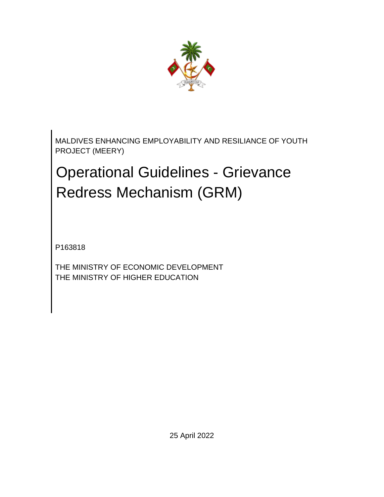

MALDIVES ENHANCING EMPLOYABILITY AND RESILIANCE OF YOUTH PROJECT (MEERY)

# Operational Guidelines - Grievance Redress Mechanism (GRM)

P163818

THE MINISTRY OF ECONOMIC DEVELOPMENT THE MINISTRY OF HIGHER EDUCATION

25 April 2022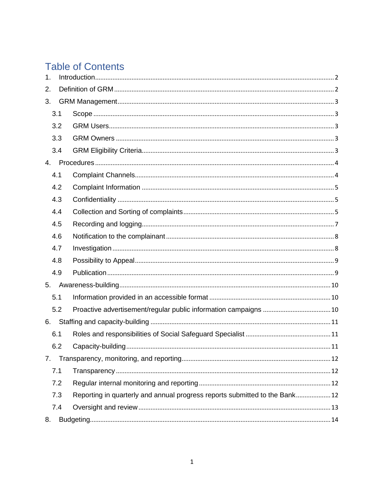# **Table of Contents**

| 1. |     |                                                                             |  |  |  |
|----|-----|-----------------------------------------------------------------------------|--|--|--|
| 2. |     |                                                                             |  |  |  |
| 3. |     |                                                                             |  |  |  |
|    | 3.1 |                                                                             |  |  |  |
|    | 3.2 |                                                                             |  |  |  |
|    | 3.3 |                                                                             |  |  |  |
|    | 3.4 |                                                                             |  |  |  |
|    |     |                                                                             |  |  |  |
|    | 4.1 |                                                                             |  |  |  |
|    | 4.2 |                                                                             |  |  |  |
|    | 4.3 |                                                                             |  |  |  |
|    | 4.4 |                                                                             |  |  |  |
|    | 4.5 |                                                                             |  |  |  |
|    | 4.6 |                                                                             |  |  |  |
|    | 4.7 |                                                                             |  |  |  |
|    | 4.8 |                                                                             |  |  |  |
|    | 4.9 |                                                                             |  |  |  |
| 5. |     |                                                                             |  |  |  |
|    | 5.1 |                                                                             |  |  |  |
|    | 5.2 |                                                                             |  |  |  |
| 6. |     |                                                                             |  |  |  |
|    | 6.1 |                                                                             |  |  |  |
|    | 6.2 |                                                                             |  |  |  |
| 7. |     |                                                                             |  |  |  |
|    | 7.1 |                                                                             |  |  |  |
|    | 7.2 |                                                                             |  |  |  |
|    | 7.3 | Reporting in quarterly and annual progress reports submitted to the Bank 12 |  |  |  |
|    | 7.4 |                                                                             |  |  |  |
| 8. |     |                                                                             |  |  |  |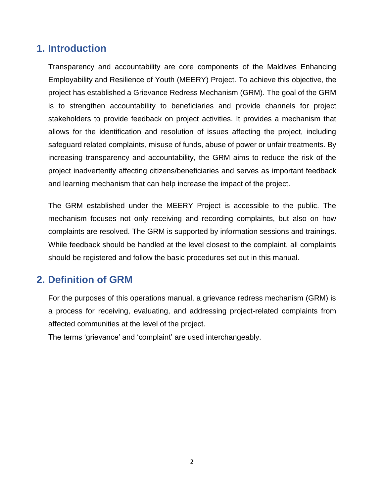## <span id="page-2-0"></span>**1. Introduction**

Transparency and accountability are core components of the Maldives Enhancing Employability and Resilience of Youth (MEERY) Project. To achieve this objective, the project has established a Grievance Redress Mechanism (GRM). The goal of the GRM is to strengthen accountability to beneficiaries and provide channels for project stakeholders to provide feedback on project activities. It provides a mechanism that allows for the identification and resolution of issues affecting the project, including safeguard related complaints, misuse of funds, abuse of power or unfair treatments. By increasing transparency and accountability, the GRM aims to reduce the risk of the project inadvertently affecting citizens/beneficiaries and serves as important feedback and learning mechanism that can help increase the impact of the project.

The GRM established under the MEERY Project is accessible to the public. The mechanism focuses not only receiving and recording complaints, but also on how complaints are resolved. The GRM is supported by information sessions and trainings. While feedback should be handled at the level closest to the complaint, all complaints should be registered and follow the basic procedures set out in this manual.

## <span id="page-2-1"></span>**2. Definition of GRM**

For the purposes of this operations manual, a grievance redress mechanism (GRM) is a process for receiving, evaluating, and addressing project-related complaints from affected communities at the level of the project.

The terms 'grievance' and 'complaint' are used interchangeably.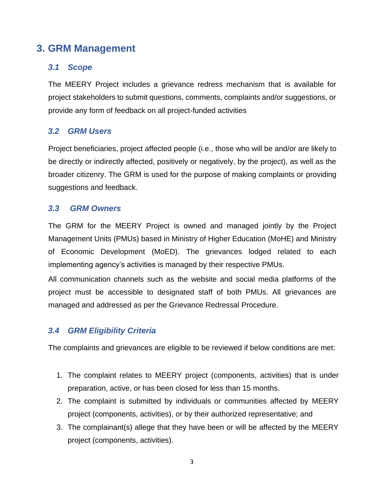## <span id="page-3-0"></span>**3. GRM Management**

#### <span id="page-3-1"></span>*3.1 Scope*

The MEERY Project includes a grievance redress mechanism that is available for project stakeholders to submit questions, comments, complaints and/or suggestions, or provide any form of feedback on all project-funded activities

#### <span id="page-3-2"></span>*3.2 GRM Users*

Project beneficiaries, project affected people (i.e., those who will be and/or are likely to be directly or indirectly affected, positively or negatively, by the project), as well as the broader citizenry. The GRM is used for the purpose of making complaints or providing suggestions and feedback.

#### <span id="page-3-3"></span>*3.3 GRM Owners*

The GRM for the MEERY Project is owned and managed jointly by the Project Management Units (PMUs) based in Ministry of Higher Education (MoHE) and Ministry of Economic Development (MoED). The grievances lodged related to each implementing agency's activities is managed by their respective PMUs.

All communication channels such as the website and social media platforms of the project must be accessible to designated staff of both PMUs. All grievances are managed and addressed as per the Grievance Redressal Procedure.

#### <span id="page-3-4"></span>*3.4 GRM Eligibility Criteria*

The complaints and grievances are eligible to be reviewed if below conditions are met:

- 1. The complaint relates to MEERY project (components, activities) that is under preparation, active, or has been closed for less than 15 months.
- 2. The complaint is submitted by individuals or communities affected by MEERY project (components, activities), or by their authorized representative; and
- 3. The complainant(s) allege that they have been or will be affected by the MEERY project (components, activities).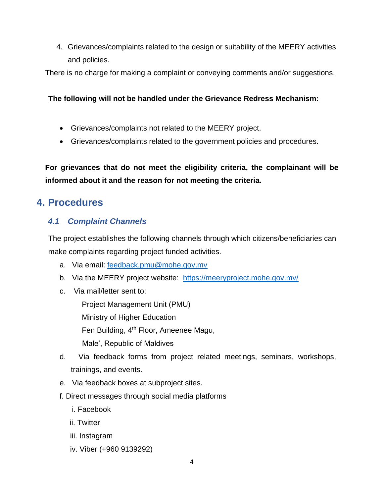4. Grievances/complaints related to the design or suitability of the MEERY activities and policies.

There is no charge for making a complaint or conveying comments and/or suggestions.

#### **The following will not be handled under the Grievance Redress Mechanism:**

- Grievances/complaints not related to the MEERY project.
- Grievances/complaints related to the government policies and procedures.

**For grievances that do not meet the eligibility criteria, the complainant will be informed about it and the reason for not meeting the criteria.**

## <span id="page-4-0"></span>**4. Procedures**

#### <span id="page-4-1"></span>*4.1 Complaint Channels*

The project establishes the following channels through which citizens/beneficiaries can make complaints regarding project funded activities.

- a. Via email: [feedback.pmu@mohe.gov.mv](mailto:feedback.pmu@mohe.gov.mv)
- b. Via the MEERY project website: https://meeryproject.mohe.gov.my/
- c. Via mail/letter sent to:

Project Management Unit (PMU) Ministry of Higher Education Fen Building, 4<sup>th</sup> Floor, Ameenee Magu, Male', Republic of Maldives

- d. Via feedback forms from project related meetings, seminars, workshops, trainings, and events.
- e. Via feedback boxes at subproject sites.
- f. Direct messages through social media platforms
	- i. Facebook
	- ii. Twitter
	- iii. Instagram
	- iv. Viber (+960 9139292)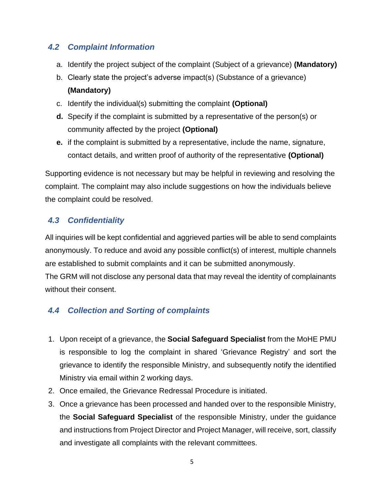#### <span id="page-5-0"></span>*4.2 Complaint Information*

- a. Identify the project subject of the complaint (Subject of a grievance) **(Mandatory)**
- b. Clearly state the project's adverse impact(s) (Substance of a grievance) **(Mandatory)**
- c. Identify the individual(s) submitting the complaint **(Optional)**
- **d.** Specify if the complaint is submitted by a representative of the person(s) or community affected by the project **(Optional)**
- **e.** if the complaint is submitted by a representative, include the name, signature, contact details, and written proof of authority of the representative **(Optional)**

Supporting evidence is not necessary but may be helpful in reviewing and resolving the complaint. The complaint may also include suggestions on how the individuals believe the complaint could be resolved.

### <span id="page-5-1"></span>*4.3 Confidentiality*

All inquiries will be kept confidential and aggrieved parties will be able to send complaints anonymously. To reduce and avoid any possible conflict(s) of interest, multiple channels are established to submit complaints and it can be submitted anonymously.

The GRM will not disclose any personal data that may reveal the identity of complainants without their consent.

## <span id="page-5-2"></span>*4.4 Collection and Sorting of complaints*

- 1. Upon receipt of a grievance, the **Social Safeguard Specialist** from the MoHE PMU is responsible to log the complaint in shared 'Grievance Registry' and sort the grievance to identify the responsible Ministry, and subsequently notify the identified Ministry via email within 2 working days.
- 2. Once emailed, the Grievance Redressal Procedure is initiated.
- 3. Once a grievance has been processed and handed over to the responsible Ministry, the **Social Safeguard Specialist** of the responsible Ministry, under the guidance and instructions from Project Director and Project Manager, will receive, sort, classify and investigate all complaints with the relevant committees.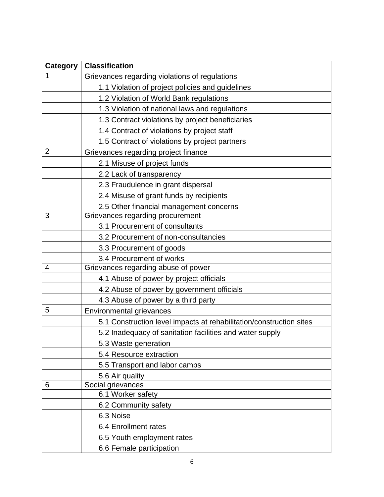| Category       | <b>Classification</b>                                               |
|----------------|---------------------------------------------------------------------|
| 1              | Grievances regarding violations of regulations                      |
|                | 1.1 Violation of project policies and guidelines                    |
|                | 1.2 Violation of World Bank regulations                             |
|                | 1.3 Violation of national laws and regulations                      |
|                | 1.3 Contract violations by project beneficiaries                    |
|                | 1.4 Contract of violations by project staff                         |
|                | 1.5 Contract of violations by project partners                      |
| $\overline{2}$ | Grievances regarding project finance                                |
|                | 2.1 Misuse of project funds                                         |
|                | 2.2 Lack of transparency                                            |
|                | 2.3 Fraudulence in grant dispersal                                  |
|                | 2.4 Misuse of grant funds by recipients                             |
|                | 2.5 Other financial management concerns                             |
| 3              | Grievances regarding procurement                                    |
|                | 3.1 Procurement of consultants                                      |
|                | 3.2 Procurement of non-consultancies                                |
|                | 3.3 Procurement of goods                                            |
|                | 3.4 Procurement of works                                            |
| 4              | Grievances regarding abuse of power                                 |
|                | 4.1 Abuse of power by project officials                             |
|                | 4.2 Abuse of power by government officials                          |
|                | 4.3 Abuse of power by a third party                                 |
| 5              | <b>Environmental grievances</b>                                     |
|                | 5.1 Construction level impacts at rehabilitation/construction sites |
|                | 5.2 Inadequacy of sanitation facilities and water supply            |
|                | 5.3 Waste generation                                                |
|                | 5.4 Resource extraction                                             |
|                | 5.5 Transport and labor camps                                       |
|                | 5.6 Air quality                                                     |
| 6              | Social grievances                                                   |
|                | 6.1 Worker safety                                                   |
|                | 6.2 Community safety                                                |
|                | 6.3 Noise                                                           |
|                | 6.4 Enrollment rates                                                |
|                | 6.5 Youth employment rates                                          |
|                | 6.6 Female participation                                            |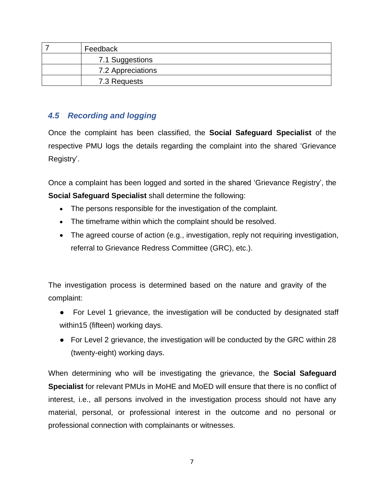| Feedback          |
|-------------------|
| 7.1 Suggestions   |
| 7.2 Appreciations |
| 7.3 Requests      |

#### <span id="page-7-0"></span>*4.5 Recording and logging*

Once the complaint has been classified, the **Social Safeguard Specialist** of the respective PMU logs the details regarding the complaint into the shared 'Grievance Registry'.

Once a complaint has been logged and sorted in the shared 'Grievance Registry', the **Social Safeguard Specialist** shall determine the following:

- The persons responsible for the investigation of the complaint.
- The timeframe within which the complaint should be resolved.
- The agreed course of action (e.g., investigation, reply not requiring investigation, referral to Grievance Redress Committee (GRC), etc.).

The investigation process is determined based on the nature and gravity of the complaint:

- For Level 1 grievance, the investigation will be conducted by designated staff within15 (fifteen) working days.
- For Level 2 grievance, the investigation will be conducted by the GRC within 28 (twenty-eight) working days.

When determining who will be investigating the grievance, the **Social Safeguard Specialist** for relevant PMUs in MoHE and MoED will ensure that there is no conflict of interest, i.e., all persons involved in the investigation process should not have any material, personal, or professional interest in the outcome and no personal or professional connection with complainants or witnesses.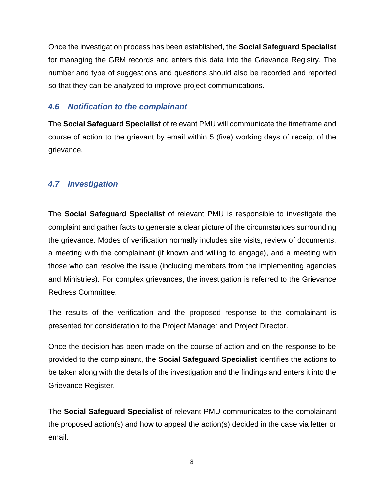Once the investigation process has been established, the **Social Safeguard Specialist** for managing the GRM records and enters this data into the Grievance Registry. The number and type of suggestions and questions should also be recorded and reported so that they can be analyzed to improve project communications.

#### <span id="page-8-0"></span>*4.6 Notification to the complainant*

The **Social Safeguard Specialist** of relevant PMU will communicate the timeframe and course of action to the grievant by email within 5 (five) working days of receipt of the grievance.

#### <span id="page-8-1"></span>*4.7 Investigation*

The **Social Safeguard Specialist** of relevant PMU is responsible to investigate the complaint and gather facts to generate a clear picture of the circumstances surrounding the grievance. Modes of verification normally includes site visits, review of documents, a meeting with the complainant (if known and willing to engage), and a meeting with those who can resolve the issue (including members from the implementing agencies and Ministries). For complex grievances, the investigation is referred to the Grievance Redress Committee.

The results of the verification and the proposed response to the complainant is presented for consideration to the Project Manager and Project Director.

Once the decision has been made on the course of action and on the response to be provided to the complainant, the **Social Safeguard Specialist** identifies the actions to be taken along with the details of the investigation and the findings and enters it into the Grievance Register.

The **Social Safeguard Specialist** of relevant PMU communicates to the complainant the proposed action(s) and how to appeal the action(s) decided in the case via letter or email.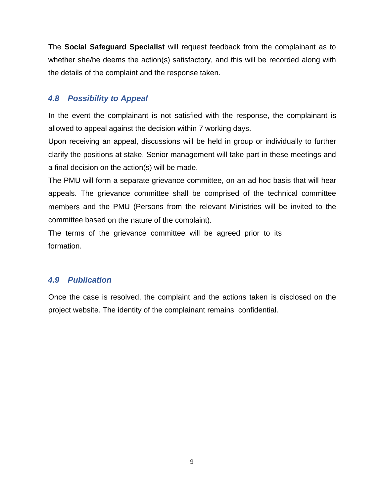The **Social Safeguard Specialist** will request feedback from the complainant as to whether she/he deems the action(s) satisfactory, and this will be recorded along with the details of the complaint and the response taken.

#### <span id="page-9-0"></span>*4.8 Possibility to Appeal*

In the event the complainant is not satisfied with the response, the complainant is allowed to appeal against the decision within 7 working days.

Upon receiving an appeal, discussions will be held in group or individually to further clarify the positions at stake. Senior management will take part in these meetings and a final decision on the action(s) will be made.

The PMU will form a separate grievance committee, on an ad hoc basis that will hear appeals. The grievance committee shall be comprised of the technical committee members and the PMU (Persons from the relevant Ministries will be invited to the committee based on the nature of the complaint).

The terms of the grievance committee will be agreed prior to its formation.

#### <span id="page-9-1"></span>*4.9 Publication*

Once the case is resolved, the complaint and the actions taken is disclosed on the project website. The identity of the complainant remains confidential.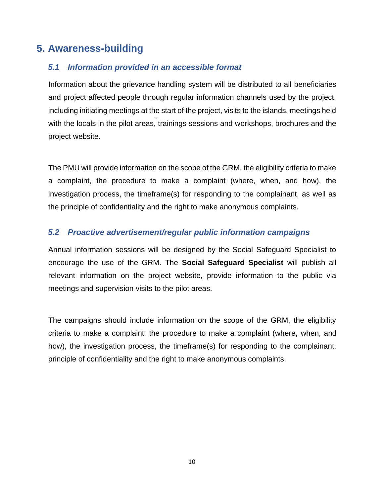# <span id="page-10-0"></span>**5. Awareness-building**

#### <span id="page-10-1"></span>*5.1 Information provided in an accessible format*

Information about the grievance handling system will be distributed to all beneficiaries and project affected people through regular information channels used by the project, including initiating meetings at the start of the project, visits to the islands, meetings held with the locals in the pilot areas, trainings sessions and workshops, brochures and the project website.

The PMU will provide information on the scope of the GRM, the eligibility criteria to make a complaint, the procedure to make a complaint (where, when, and how), the investigation process, the timeframe(s) for responding to the complainant, as well as the principle of confidentiality and the right to make anonymous complaints.

#### <span id="page-10-2"></span>*5.2 Proactive advertisement/regular public information campaigns*

Annual information sessions will be designed by the Social Safeguard Specialist to encourage the use of the GRM. The **Social Safeguard Specialist** will publish all relevant information on the project website, provide information to the public via meetings and supervision visits to the pilot areas.

The campaigns should include information on the scope of the GRM, the eligibility criteria to make a complaint, the procedure to make a complaint (where, when, and how), the investigation process, the timeframe(s) for responding to the complainant, principle of confidentiality and the right to make anonymous complaints.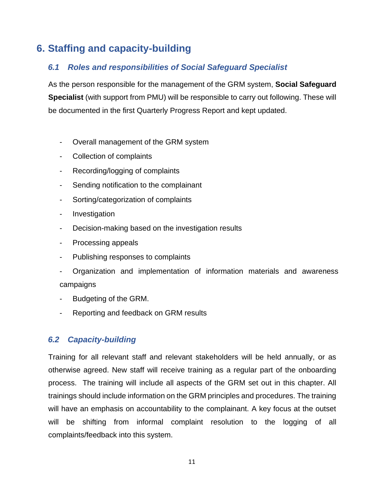# <span id="page-11-0"></span>**6. Staffing and capacity-building**

#### <span id="page-11-1"></span>*6.1 Roles and responsibilities of Social Safeguard Specialist*

As the person responsible for the management of the GRM system, **Social Safeguard Specialist** (with support from PMU) will be responsible to carry out following. These will be documented in the first Quarterly Progress Report and kept updated.

- Overall management of the GRM system
- Collection of complaints
- Recording/logging of complaints
- Sending notification to the complainant
- Sorting/categorization of complaints
- Investigation
- Decision-making based on the investigation results
- Processing appeals
- Publishing responses to complaints
- Organization and implementation of information materials and awareness campaigns
- Budgeting of the GRM.
- Reporting and feedback on GRM results

#### <span id="page-11-2"></span>*6.2 Capacity-building*

Training for all relevant staff and relevant stakeholders will be held annually, or as otherwise agreed. New staff will receive training as a regular part of the onboarding process. The training will include all aspects of the GRM set out in this chapter. All trainings should include information on the GRM principles and procedures. The training will have an emphasis on accountability to the complainant. A key focus at the outset will be shifting from informal complaint resolution to the logging of all complaints/feedback into this system.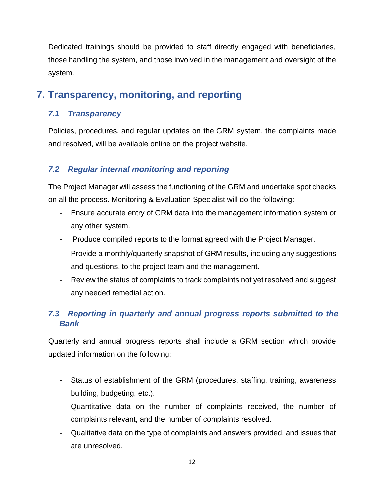Dedicated trainings should be provided to staff directly engaged with beneficiaries, those handling the system, and those involved in the management and oversight of the system.

## <span id="page-12-0"></span>**7. Transparency, monitoring, and reporting**

#### <span id="page-12-1"></span>*7.1 Transparency*

Policies, procedures, and regular updates on the GRM system, the complaints made and resolved, will be available online on the project website.

#### <span id="page-12-2"></span>*7.2 Regular internal monitoring and reporting*

The Project Manager will assess the functioning of the GRM and undertake spot checks on all the process. Monitoring & Evaluation Specialist will do the following:

- Ensure accurate entry of GRM data into the management information system or any other system.
- Produce compiled reports to the format agreed with the Project Manager.
- Provide a monthly/quarterly snapshot of GRM results, including any suggestions and questions, to the project team and the management.
- Review the status of complaints to track complaints not yet resolved and suggest any needed remedial action.

#### <span id="page-12-3"></span>*7.3 Reporting in quarterly and annual progress reports submitted to the Bank*

Quarterly and annual progress reports shall include a GRM section which provide updated information on the following:

- Status of establishment of the GRM (procedures, staffing, training, awareness building, budgeting, etc.).
- Quantitative data on the number of complaints received, the number of complaints relevant, and the number of complaints resolved.
- Qualitative data on the type of complaints and answers provided, and issues that are unresolved.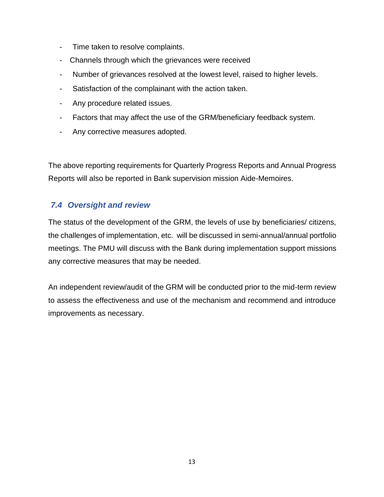- Time taken to resolve complaints.
- Channels through which the grievances were received
- Number of grievances resolved at the lowest level, raised to higher levels.
- Satisfaction of the complainant with the action taken.
- Any procedure related issues.
- Factors that may affect the use of the GRM/beneficiary feedback system.
- Any corrective measures adopted.

The above reporting requirements for Quarterly Progress Reports and Annual Progress Reports will also be reported in Bank supervision mission Aide-Memoires.

#### <span id="page-13-0"></span>*7.4 Oversight and review*

The status of the development of the GRM, the levels of use by beneficiaries/ citizens, the challenges of implementation, etc. will be discussed in semi-annual/annual portfolio meetings. The PMU will discuss with the Bank during implementation support missions any corrective measures that may be needed.

An independent review/audit of the GRM will be conducted prior to the mid-term review to assess the effectiveness and use of the mechanism and recommend and introduce improvements as necessary.